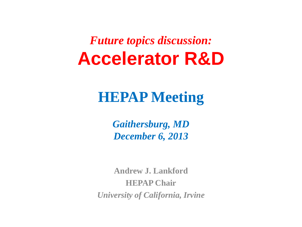*Future topics discussion:* **Accelerator R&D**

## **HEPAP Meeting**

*Gaithersburg, MD December 6, 2013*

**Andrew J. Lankford HEPAP Chair** *University of California, Irvine*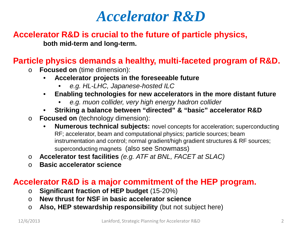### **Accelerator R&D is crucial to the future of particle physics,**

**both mid-term and long-term.**

### **Particle physics demands a healthy, multi-faceted program of R&D.**

- o **Focused on** (time dimension):
	- **Accelerator projects in the foreseeable future**
		- *e.g. HL-LHC, Japanese-hosted ILC*
	- **Enabling technologies for new accelerators in the more distant future**
		- *e.g. muon collider, very high energy hadron collider*
	- **Striking a balance between "directed" & "basic" accelerator R&D**
- o **Focused on** (technology dimension):
	- **Numerous technical subjects:** novel concepts for acceleration; superconducting RF; accelerator, beam and computational physics; particle sources; beam instrumentation and control; normal gradient/high gradient structures & RF sources; superconducting magnets (also see Snowmass)
- o **Accelerator test facilities** *(e.g. ATF at BNL, FACET at SLAC)*
- o **Basic accelerator science**

#### **Accelerator R&D is a major commitment of the HEP program.**

- o **Significant fraction of HEP budget** (15-20%)
- o **New thrust for NSF in basic accelerator science**
- o **Also, HEP stewardship responsibility** (but not subject here)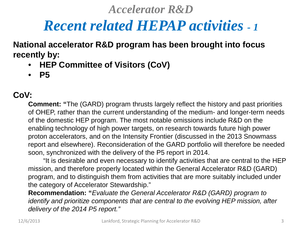## *Recent related HEPAP activities - <sup>1</sup>*

**National accelerator R&D program has been brought into focus recently by:**

- **HEP Committee of Visitors (CoV)**
- **P5**

### **CoV:**

**Comment: "**The (GARD) program thrusts largely reflect the history and past priorities of OHEP, rather than the current understanding of the medium- and longer-term needs of the domestic HEP program. The most notable omissions include R&D on the enabling technology of high power targets, on research towards future high power proton accelerators, and on the Intensity Frontier (discussed in the 2013 Snowmass report and elsewhere). Reconsideration of the GARD portfolio will therefore be needed soon, synchronized with the delivery of the P5 report in 2014.

"It is desirable and even necessary to identify activities that are central to the HEP mission, and therefore properly located within the General Accelerator R&D (GARD) program, and to distinguish them from activities that are more suitably included under the category of Accelerator Stewardship."

**Recommendation: "***Evaluate the General Accelerator R&D (GARD) program to identify and prioritize components that are central to the evolving HEP mission, after delivery of the 2014 P5 report."*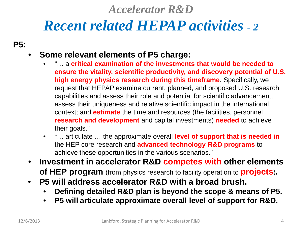# *Recent related HEPAP activities - <sup>2</sup>*

**P5:**

### • **Some relevant elements of P5 charge:**

- "… a **critical examination of the investments that would be needed to ensure the vitality, scientific productivity, and discovery potential of U.S. high energy physics research during this timeframe**. Specifically, we request that HEPAP examine current, planned, and proposed U.S. research capabilities and assess their role and potential for scientific advancement; assess their uniqueness and relative scientific impact in the international context; and **estimate** the time and resources (the facilities, personnel, **research and development** and capital investments) **needed** to achieve their goals."
- "… articulate … the approximate overall **level of support that is needed in**  the HEP core research and **advanced technology R&D programs** to achieve these opportunities in the various scenarios."
- **Investment in accelerator R&D competes with other elements of HEP program** (from physics research to facility operation to **projects**)**.**
- **P5 will address accelerator R&D with a broad brush.**
	- **Defining detailed R&D plan is beyond the scope & means of P5.**
	- **P5 will articulate approximate overall level of support for R&D.**